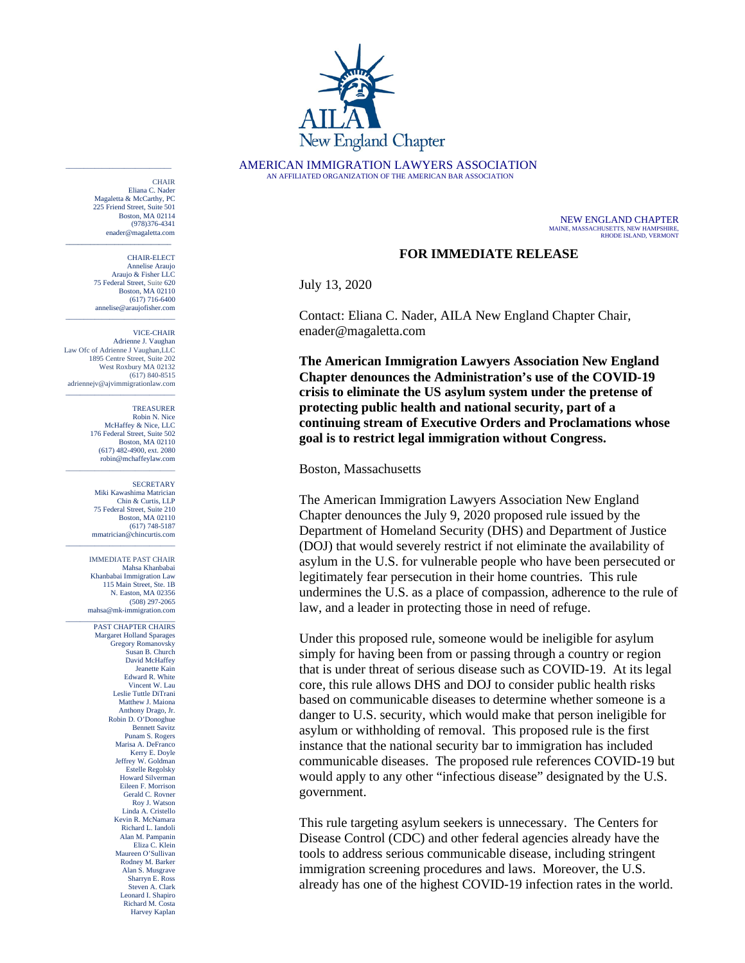

AMERICAN IMMIGRATION LAWYERS ASSOCIATION AN AFFILIATED ORGANIZATION OF THE AMERICAN BAR ASSOCIATION

NEW ENGLAND CHAPTER MAINE, MASSACHUSETTS, NEW HAMPSHIRE, RHODE ISLAND, VERMONT

## **FOR IMMEDIATE RELEASE**

July 13, 2020

Contact: Eliana C. Nader, AILA New England Chapter Chair, [enader@magaletta.com](mailto:mahsa@mk-immigration.com)

**The American Immigration Lawyers Association New England Chapter denounces the Administration's use of the COVID-19 crisis to eliminate the US asylum system under the pretense of protecting public health and national security, part of a continuing stream of Executive Orders and Proclamations whose goal is to restrict legal immigration without Congress.** 

Boston, Massachusetts

The American Immigration Lawyers Association New England Chapter denounces the July 9, 2020 proposed rule issued by the Department of Homeland Security (DHS) and Department of Justice (DOJ) that would severely restrict if not eliminate the availability of asylum in the U.S. for vulnerable people who have been persecuted or legitimately fear persecution in their home countries. This rule undermines the U.S. as a place of compassion, adherence to the rule of law, and a leader in protecting those in need of refuge.

Under this proposed rule, someone would be ineligible for asylum simply for having been from or passing through a country or region that is under threat of serious disease such as COVID-19. At its legal core, this rule allows DHS and DOJ to consider public health risks based on communicable diseases to determine whether someone is a danger to U.S. security, which would make that person ineligible for asylum or withholding of removal. This proposed rule is the first instance that the national security bar to immigration has included communicable diseases. The proposed rule references COVID-19 but would apply to any other "infectious disease" designated by the U.S. government.

This rule targeting asylum seekers is unnecessary. The Centers for Disease Control (CDC) and other federal agencies already have the tools to address serious communicable disease, including stringent immigration screening procedures and laws. Moreover, the U.S. already has one of the highest COVID-19 infection rates in the world.

**CHAIR** Eliana C. Nader Magaletta & McCarthy, PC 225 Friend Street, Suite 501 Boston, MA 02114 (978)376-4341 enader@magaletta.com

\_\_\_\_\_\_\_\_\_\_\_\_\_\_\_\_\_\_\_\_\_\_\_\_\_\_\_\_\_

\_\_\_\_\_\_\_\_\_\_\_\_\_\_\_\_\_\_\_\_\_\_\_\_\_\_

CHAIR-ELECT Annelise Araujo Araujo & Fisher LLC 75 Federal Street, Suite 620 Boston, MA 02110 (617) 716-6400 annelise@araujofisher.com \_\_\_\_\_\_\_\_\_\_\_\_\_\_\_\_\_\_\_\_\_\_\_\_\_\_\_\_\_\_

VICE-CHAIR

Adrienne J. Vaughan Law Ofc of Adrienne J Vaughan, LLC 1895 Centre Street, Suite 202 West Roxbury MA 02132 (617) 840-8515 adriennejv@ajvimmigrationlaw.com \_\_\_\_\_\_\_\_\_\_\_\_\_\_\_\_\_\_\_\_\_\_\_\_\_\_\_\_\_\_

> TREASURER Robin N. Nice McHaffey & Nice, LLC 176 Federal Street, Suite 502 Boston, MA 02110 (617) 482-4900, ext. 2080 robin@mchaffeylaw.com

\_\_\_\_\_\_\_\_\_\_\_\_\_\_\_\_\_\_\_\_\_\_\_\_\_\_\_\_\_\_

\_\_\_\_\_\_\_\_\_\_\_\_\_\_\_\_\_\_\_\_\_\_\_\_\_\_\_\_\_\_

**SECRETARY** Miki Kawashima Matrician Chin & Curtis, LLP 75 Federal Street, Suite 210 Boston, MA 02110 (617) 748-5187 mmatrician@chincurtis.com

IMMEDIATE PAST CHAIR Mahsa Khanbabai Khanbabai Immigration Law 115 Main Street, Ste. 1B N. Easton, MA 02356 (508) 297-2065 mahsa@mk-immigration.com

\_\_\_\_\_\_\_\_\_\_\_\_\_\_\_\_\_\_\_\_\_\_\_\_\_\_\_\_\_\_ PAST CHAPTER CHAIRS Margaret Holland Sparages Gregory Romanovsky Susan B. Church David McHaffey Jeanette Kain Edward R. White Vincent W. Lau Leslie Tuttle DiTrani Matthew J. Maiona Anthony Drago, Jr. Robin D. O'Donoghue Bennett Savitz Punam S. Rogers Marisa A. DeFranco Kerry E. Doyle Jeffrey W. Goldman Estelle Regolsky Howard Silverman Eileen F. Morrison Gerald C. Rovner Roy J. Watson Linda A. Cristello Kevin R. McNamara Richard L. Iandoli Alan M. Pampanin Eliza C. Klein Maureen O'Sullivan Rodney M. Barker Alan S. Musgrave Sharryn E. Ross Steven A. Clark Leonard I. Shapiro Richard M. Costa Harvey Kaplan